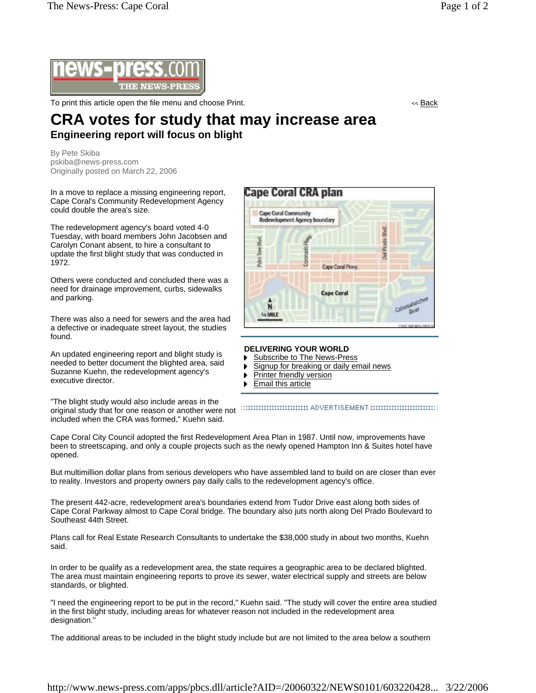

To print this article open the file menu and choose Print. << Back

## **CRA votes for study that may increase area Engineering report will focus on blight**

By Pete Skiba pskiba@news-press.com Originally posted on March 22, 2006

In a move to replace a missing engineering report, Cape Coral's Community Redevelopment Agency could double the area's size.

The redevelopment agency's board voted 4-0 Tuesday, with board members John Jacobsen and Carolyn Conant absent, to hire a consultant to update the first blight study that was conducted in 1972.

Others were conducted and concluded there was a need for drainage improvement, curbs, sidewalks and parking.

There was also a need for sewers and the area had a defective or inadequate street layout, the studies found.

An updated engineering report and blight study is needed to better document the blighted area, said Suzanne Kuehn, the redevelopment agency's executive director.

"The blight study would also include areas in the original study that for one reason or another were not included when the CRA was formed," Kuehn said.



## **DELIVERING YOUR WORLD**

- Subscribe to The News-Press
- Signup for breaking or daily email news ь
- Printer friendly version
- ь Email this article

Cape Coral City Council adopted the first Redevelopment Area Plan in 1987. Until now, improvements have been to streetscaping, and only a couple projects such as the newly opened Hampton Inn & Suites hotel have opened.

But multimillion dollar plans from serious developers who have assembled land to build on are closer than ever to reality. Investors and property owners pay daily calls to the redevelopment agency's office.

The present 442-acre, redevelopment area's boundaries extend from Tudor Drive east along both sides of Cape Coral Parkway almost to Cape Coral bridge. The boundary also juts north along Del Prado Boulevard to Southeast 44th Street.

Plans call for Real Estate Research Consultants to undertake the \$38,000 study in about two months, Kuehn said.

In order to be qualify as a redevelopment area, the state requires a geographic area to be declared blighted. The area must maintain engineering reports to prove its sewer, water electrical supply and streets are below standards, or blighted.

"I need the engineering report to be put in the record," Kuehn said. "The study will cover the entire area studied in the first blight study, including areas for whatever reason not included in the redevelopment area designation."

The additional areas to be included in the blight study include but are not limited to the area below a southern